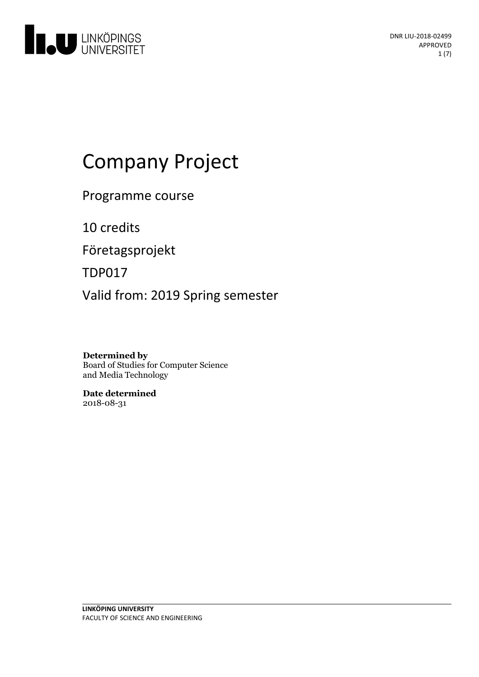

# Company Project

Programme course

10 credits

Företagsprojekt

TDP017

Valid from: 2019 Spring semester

**Determined by** Board of Studies for Computer Science and Media Technology

**Date determined** 2018-08-31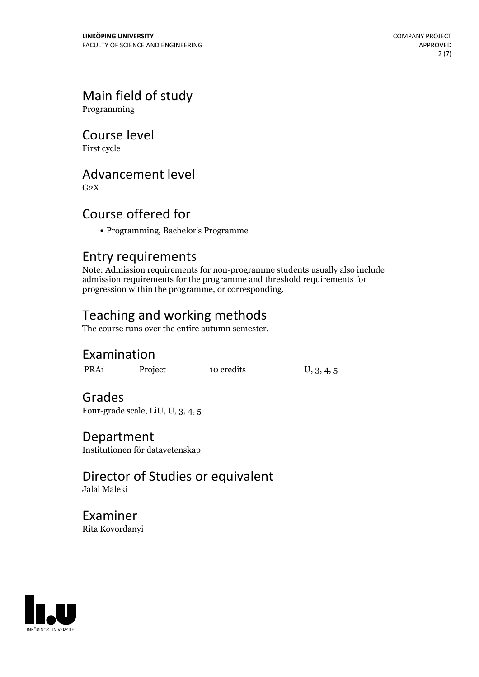# Main field of study

Programming

# Course level

First cycle

## Advancement level

 $G<sub>2</sub>X$ 

# Course offered for

Programming, Bachelor's Programme

### Entry requirements

Note: Admission requirements for non-programme students usually also include admission requirements for the programme and threshold requirements for progression within the programme, or corresponding.

# Teaching and working methods

The course runs over the entire autumn semester.

## Examination

PRA1 Project 10 credits U, 3, 4, 5

### Grades

Four-grade scale, LiU, U, 3, 4, 5

### Department

Institutionen för datavetenskap

### Director of Studies or equivalent Jalal Maleki

Examiner Rita Kovordanyi

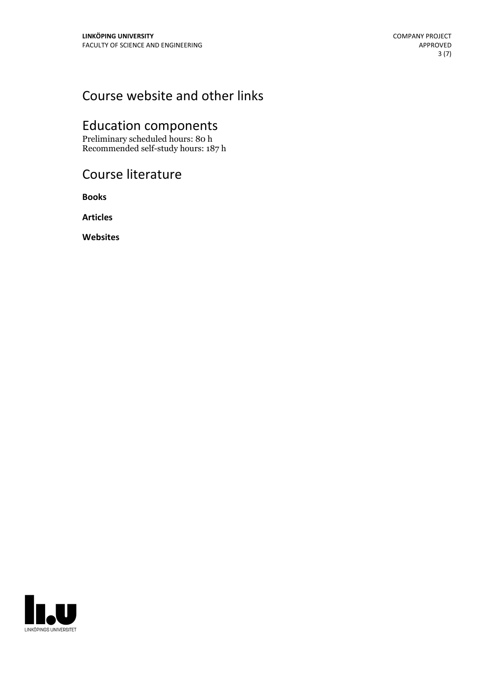# Course website and other links

# Education components

Preliminary scheduled hours: 80 h Recommended self-study hours: 187 h

# Course literature

**Books**

**Articles**

**Websites**

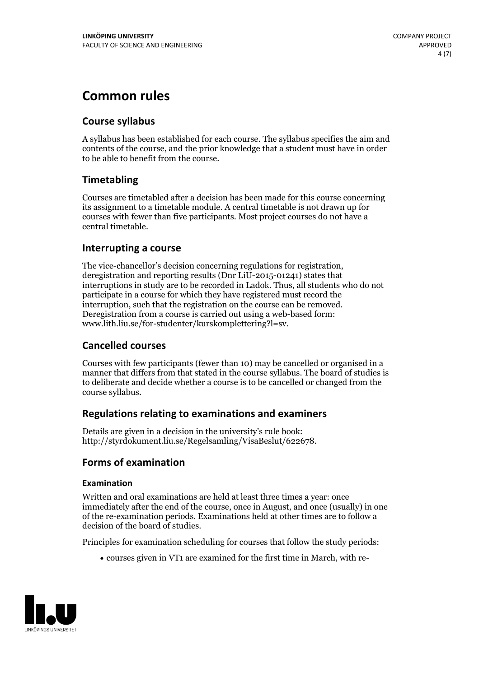# **Common rules**

### **Course syllabus**

A syllabus has been established for each course. The syllabus specifies the aim and contents of the course, and the prior knowledge that a student must have in order to be able to benefit from the course.

### **Timetabling**

Courses are timetabled after a decision has been made for this course concerning its assignment to a timetable module. A central timetable is not drawn up for courses with fewer than five participants. Most project courses do not have a central timetable.

### **Interrupting a course**

The vice-chancellor's decision concerning regulations for registration, deregistration and reporting results (Dnr LiU-2015-01241) states that interruptions in study are to be recorded in Ladok. Thus, all students who do not participate in a course for which they have registered must record the interruption, such that the registration on the course can be removed. Deregistration from <sup>a</sup> course is carried outusing <sup>a</sup> web-based form: www.lith.liu.se/for-studenter/kurskomplettering?l=sv.

### **Cancelled courses**

Courses with few participants (fewer than 10) may be cancelled or organised in a manner that differs from that stated in the course syllabus. The board of studies is to deliberate and decide whether a course is to be cancelled orchanged from the course syllabus.

### **Regulations relatingto examinations and examiners**

Details are given in a decision in the university's rule book: http://styrdokument.liu.se/Regelsamling/VisaBeslut/622678.

### **Forms of examination**

#### **Examination**

Written and oral examinations are held at least three times a year: once immediately after the end of the course, once in August, and once (usually) in one of the re-examination periods. Examinations held at other times are to follow a decision of the board of studies.

Principles for examination scheduling for courses that follow the study periods:

courses given in VT1 are examined for the first time in March, with re-

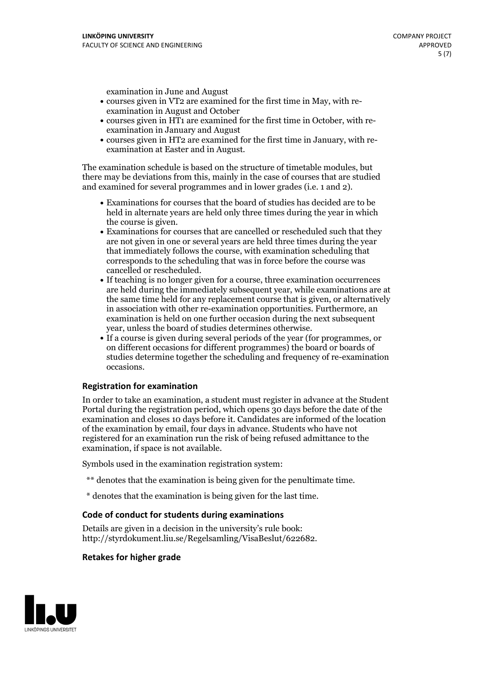examination in June and August

- courses given in VT2 are examined for the first time in May, with re-examination in August and October
- courses given in HT1 are examined for the first time in October, with re-examination in January and August
- courses given in HT2 are examined for the first time in January, with re-examination at Easter and in August.

The examination schedule is based on the structure of timetable modules, but there may be deviations from this, mainly in the case of courses that are studied and examined for several programmes and in lower grades (i.e. 1 and 2).

- Examinations for courses that the board of studies has decided are to be held in alternate years are held only three times during the year in which
- the course is given.<br>• Examinations for courses that are cancelled or rescheduled such that they are not given in one or several years are held three times during the year that immediately follows the course, with examination scheduling that corresponds to the scheduling that was in force before the course was cancelled or rescheduled.<br>• If teaching is no longer given for a course, three examination occurrences
- are held during the immediately subsequent year, while examinations are at the same time held for any replacement course that is given, or alternatively in association with other re-examination opportunities. Furthermore, an examination is held on one further occasion during the next subsequent year, unless the board of studies determines otherwise.<br>• If a course is given during several periods of the year (for programmes, or
- on different occasions for different programmes) the board orboards of studies determine together the scheduling and frequency of re-examination occasions.

#### **Registration for examination**

In order to take an examination, a student must register in advance at the Student Portal during the registration period, which opens 30 days before the date of the examination and closes 10 days before it. Candidates are informed of the location of the examination by email, four days in advance. Students who have not registered for an examination run the risk of being refused admittance to the examination, if space is not available.

Symbols used in the examination registration system:

- \*\* denotes that the examination is being given for the penultimate time.
- \* denotes that the examination is being given for the last time.

#### **Code of conduct for students during examinations**

Details are given in a decision in the university's rule book: http://styrdokument.liu.se/Regelsamling/VisaBeslut/622682.

#### **Retakes for higher grade**

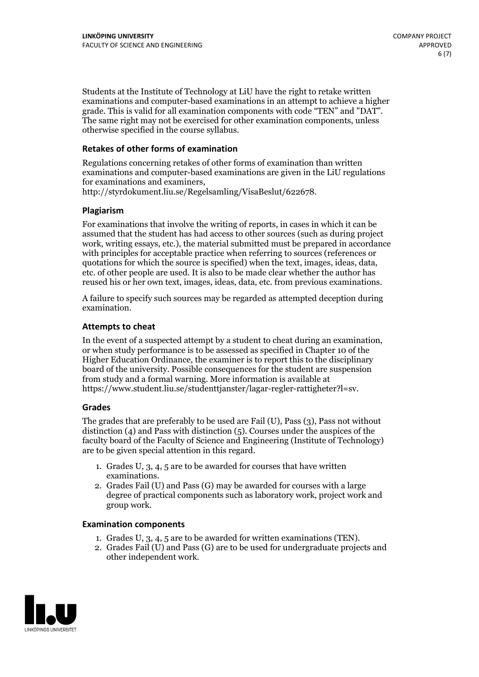Students at the Institute of Technology at LiU have the right to retake written examinations and computer-based examinations in an attempt to achieve a higher grade. This is valid for all examination components with code "TEN" and "DAT". The same right may not be exercised for other examination components, unless otherwise specified in the course syllabus.

#### **Retakes of other forms of examination**

Regulations concerning retakes of other forms of examination than written examinations and computer-based examinations are given in the LiU regulations for examinations and examiners, http://styrdokument.liu.se/Regelsamling/VisaBeslut/622678.

#### **Plagiarism**

For examinations that involve the writing of reports, in cases in which it can be assumed that the student has had access to other sources (such as during project work, writing essays, etc.), the material submitted must be prepared in accordance with principles for acceptable practice when referring to sources (references or quotations for which the source is specified) when the text, images, ideas, data, etc. of other people are used. It is also to be made clear whether the author has reused his or her own text, images, ideas, data, etc. from previous examinations.

A failure to specify such sources may be regarded as attempted deception during examination.

#### **Attempts to cheat**

In the event of <sup>a</sup> suspected attempt by <sup>a</sup> student to cheat during an examination, or when study performance is to be assessed as specified in Chapter <sup>10</sup> of the Higher Education Ordinance, the examiner is to report this to the disciplinary board of the university. Possible consequences for the student are suspension from study and a formal warning. More information is available at https://www.student.liu.se/studenttjanster/lagar-regler-rattigheter?l=sv.

#### **Grades**

The grades that are preferably to be used are Fail (U), Pass (3), Pass not without distinction  $(4)$  and Pass with distinction  $(5)$ . Courses under the auspices of the faculty board of the Faculty of Science and Engineering (Institute of Technology) are to be given special attention in this regard.

- 1. Grades U, 3, 4, 5 are to be awarded for courses that have written
- examinations. 2. Grades Fail (U) and Pass (G) may be awarded for courses with <sup>a</sup> large degree of practical components such as laboratory work, project work and group work.

#### **Examination components**

- 
- 1. Grades U, 3, 4, <sup>5</sup> are to be awarded for written examinations (TEN). 2. Grades Fail (U) and Pass (G) are to be used for undergraduate projects and other independent work.